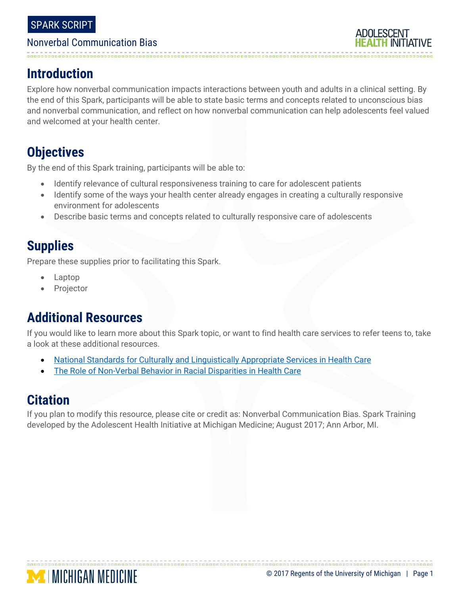#### Nonverbal Communication Bias

# **Introduction**

Explore how nonverbal communication impacts interactions between youth and adults in a clinical setting. By the end of this Spark, participants will be able to state basic terms and concepts related to unconscious bias and nonverbal communication, and reflect on how nonverbal communication can help adolescents feel valued and welcomed at your health center.

# **Objectives**

By the end of this Spark training, participants will be able to:

- Identify relevance of cultural responsiveness training to care for adolescent patients
- Identify some of the ways your health center already engages in creating a culturally responsive environment for adolescents
- Describe basic terms and concepts related to culturally responsive care of adolescents

# **Supplies**

Prepare these supplies prior to facilitating this Spark.

- Laptop
- Projector

# **Additional Resources**

If you would like to learn more about this Spark topic, or want to find health care services to refer teens to, take a look at these additional resources.

- [National Standards for Culturally and Linguistically Appropriate Services in Health Care](https://www.thinkculturalhealth.hhs.gov/assets/pdfs/EnhancedNationalCLASStandards.pdf)
- [The Role of Non-Verbal Behavior in Racial Disparities in Health](https://sites.northwestern.edu/cynthialevine/files/2016/09/Levine_NonVerb-1qpnvpj.pdf) Care

# **Citation**

If you plan to modify this resource, please cite or credit as: Nonverbal Communication Bias. Spark Training developed by the Adolescent Health Initiative at Michigan Medicine; August 2017; Ann Arbor, MI.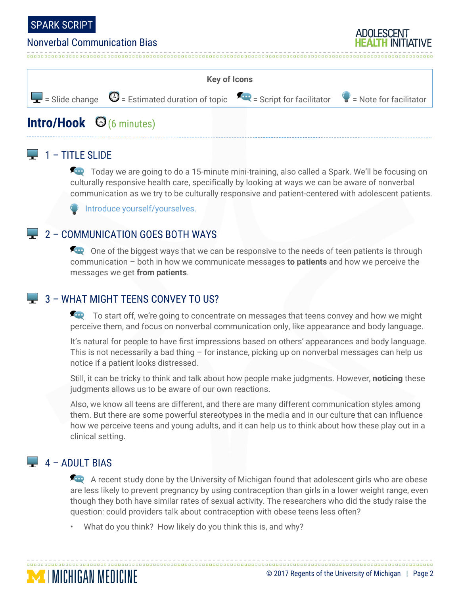

#### Nonverbal Communication Bias

| <b>Key of Icons</b> |                                                                                                                                                      |  |  |
|---------------------|------------------------------------------------------------------------------------------------------------------------------------------------------|--|--|
|                     | $\boxed{\blacksquare}$ = Slide change $\bigcirc$ = Estimated duration of topic $\bigcirc$ = Script for facilitator $\bigcirc$ = Note for facilitator |  |  |
|                     |                                                                                                                                                      |  |  |

# **Intro/Hook**  $\Theta$  (6 minutes)

#### $\Box$  1 – TITLE SLIDE

Today we are going to do a 15-minute mini-training, also called a Spark. We'll be focusing on culturally responsive health care, specifically by looking at ways we can be aware of nonverbal communication as we try to be culturally responsive and patient-centered with adolescent patients.

Introduce yourself/yourselves.

#### $\Box$  2 – COMMUNICATION GOES BOTH WAYS

**One of the biggest ways that we can be responsive to the needs of teen patients is through** communication – both in how we communicate messages **to patients** and how we perceive the messages we get **from patients**.

#### $\Box$  3 – WHAT MIGHT TFFNS CONVEY TO US?

To start off, we're going to concentrate on messages that teens convey and how we might perceive them, and focus on nonverbal communication only, like appearance and body language.

It's natural for people to have first impressions based on others' appearances and body language. This is not necessarily a bad thing – for instance, picking up on nonverbal messages can help us notice if a patient looks distressed.

Still, it can be tricky to think and talk about how people make judgments. However, **noticing** these judgments allows us to be aware of our own reactions.

Also, we know all teens are different, and there are many different communication styles among them. But there are some powerful stereotypes in the media and in our culture that can influence how we perceive teens and young adults, and it can help us to think about how these play out in a clinical setting.

## $\Box$  4 – ADULT BIAS

**MINICHIGAN MEDICINE** 

A recent study done by the University of Michigan found that adolescent girls who are obese are less likely to prevent pregnancy by using contraception than girls in a lower weight range, even though they both have similar rates of sexual activity. The researchers who did the study raise the question: could providers talk about contraception with obese teens less often?

• What do you think? How likely do you think this is, and why?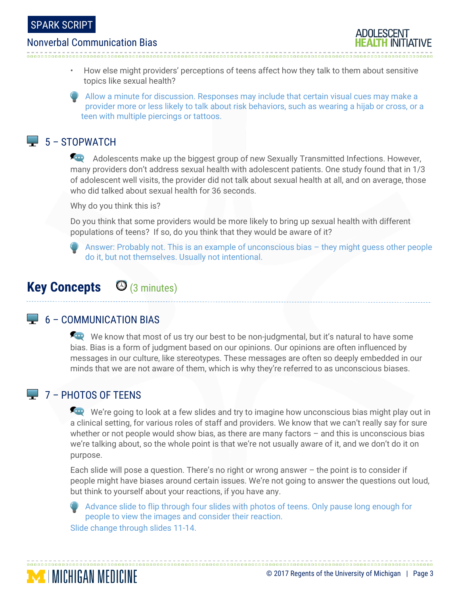#### Nonverbal Communication Bias

- 
- How else might providers' perceptions of teens affect how they talk to them about sensitive topics like sexual health?
- Allow a minute for discussion. Responses may include that certain visual cues may make a provider more or less likely to talk about risk behaviors, such as wearing a hijab or cross, or a teen with multiple piercings or tattoos.

#### $\Box$  5 – STOPWATCH

Adolescents make up the biggest group of new Sexually Transmitted Infections. However, many providers don't address sexual health with adolescent patients. One study found that in 1/3 of adolescent well visits, the provider did not talk about sexual health at all, and on average, those who did talked about sexual health for 36 seconds.

Why do you think this is?

Do you think that some providers would be more likely to bring up sexual health with different populations of teens? If so, do you think that they would be aware of it?

Answer: Probably not. This is an example of unconscious bias – they might guess other people do it, but not themselves. Usually not intentional.

# **Key Concepts** (3 minutes)

#### $\Box$  6 – COMMUNICATION BIAS

We know that most of us try our best to be non-judgmental, but it's natural to have some bias. Bias is a form of judgment based on our opinions. Our opinions are often influenced by messages in our culture, like stereotypes. These messages are often so deeply embedded in our minds that we are not aware of them, which is why they're referred to as unconscious biases.

#### $\Box$  7 – PHOTOS OF TEENS

**MINICHIGAN MEDICINE** 

We're going to look at a few slides and try to imagine how unconscious bias might play out in a clinical setting, for various roles of staff and providers. We know that we can't really say for sure whether or not people would show bias, as there are many factors - and this is unconscious bias we're talking about, so the whole point is that we're not usually aware of it, and we don't do it on purpose.

Each slide will pose a question. There's no right or wrong answer  $-$  the point is to consider if people might have biases around certain issues. We're not going to answer the questions out loud, but think to yourself about your reactions, if you have any.

Advance slide to flip through four slides with photos of teens. Only pause long enough for people to view the images and consider their reaction. Slide change through slides 11-14.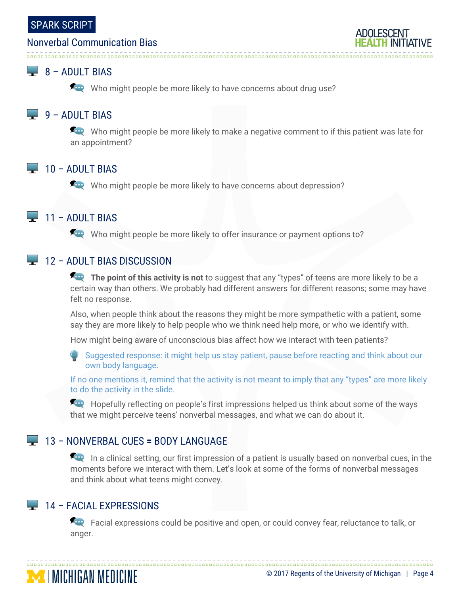#### Nonverbal Communication Bias

## $\Box$  8 – ADULT BIAS

Who might people be more likely to have concerns about drug use?

## $\Box$  9 – ADULT BIAS

Who might people be more likely to make a negative comment to if this patient was late for an appointment?

#### $\Box$  10 – ADULT BIAS

Who might people be more likely to have concerns about depression?

#### $\Box$  11 – ADULT BIAS

Who might people be more likely to offer insurance or payment options to?

#### $\Box$  12 – ADULT BIAS DISCUSSION

**The point of this activity is not** to suggest that any "types" of teens are more likely to be a certain way than others. We probably had different answers for different reasons; some may have felt no response.

Also, when people think about the reasons they might be more sympathetic with a patient, some say they are more likely to help people who we think need help more, or who we identify with.

How might being aware of unconscious bias affect how we interact with teen patients?

Suggested response: it might help us stay patient, pause before reacting and think about our own body language.

If no one mentions it, remind that the activity is not meant to imply that any "types" are more likely to do the activity in the slide.

Hopefully reflecting on people's first impressions helped us think about some of the ways that we might perceive teens' nonverbal messages, and what we can do about it.

## 13 – NONVERBAL CUES **=** BODY LANGUAGE

In a clinical setting, our first impression of a patient is usually based on nonverbal cues, in the moments before we interact with them. Let's look at some of the forms of nonverbal messages and think about what teens might convey.

## $\Box$  14 – FACIAL EXPRESSIONS

**MINICHIGAN MEDICINE** 

Facial expressions could be positive and open, or could convey fear, reluctance to talk, or anger.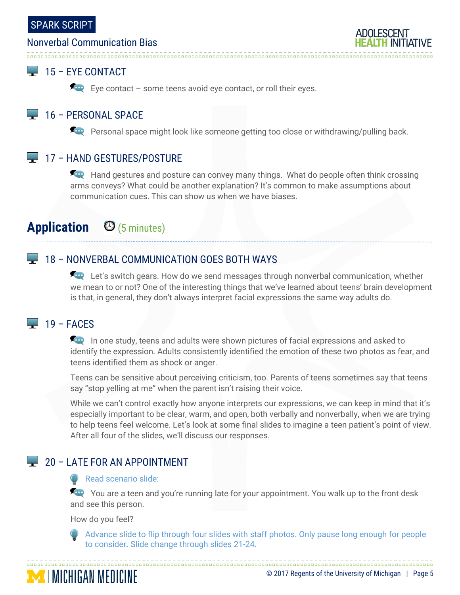#### Nonverbal Communication Bias



## $\Box$  15 – EYE CONTACT

Eye contact – some teens avoid eye contact, or roll their eyes.

#### 16 – PERSONAL SPACE

**Personal space might look like someone getting too close or withdrawing/pulling back.** 

#### **17 - HAND GESTURES/POSTURE**

**For** Hand gestures and posture can convey many things. What do people often think crossing arms conveys? What could be another explanation? It's common to make assumptions about communication cues. This can show us when we have biases.

# **Application** (5 minutes)

## **18 - NONVERBAL COMMUNICATION GOES BOTH WAYS**

**Let's switch gears. How do we send messages through nonverbal communication, whether** we mean to or not? One of the interesting things that we've learned about teens' brain development is that, in general, they don't always interpret facial expressions the same way adults do.

## $\Box$  19 – FACES

In one study, teens and adults were shown pictures of facial expressions and asked to identify the expression. Adults consistently identified the emotion of these two photos as fear, and teens identified them as shock or anger.

Teens can be sensitive about perceiving criticism, too. Parents of teens sometimes say that teens say "stop yelling at me" when the parent isn't raising their voice.

While we can't control exactly how anyone interprets our expressions, we can keep in mind that it's especially important to be clear, warm, and open, both verbally and nonverbally, when we are trying to help teens feel welcome. Let's look at some final slides to imagine a teen patient's point of view. After all four of the slides, we'll discuss our responses.

## 20 – LATE FOR AN APPOINTMENT

#### Read scenario slide:

You are a teen and you're running late for your appointment. You walk up to the front desk and see this person.

How do you feel?

Advance slide to flip through four slides with staff photos. Only pause long enough for people to consider. Slide change through slides 21-24.

#### © 2017 Regents of the University of Michigan | Page 5